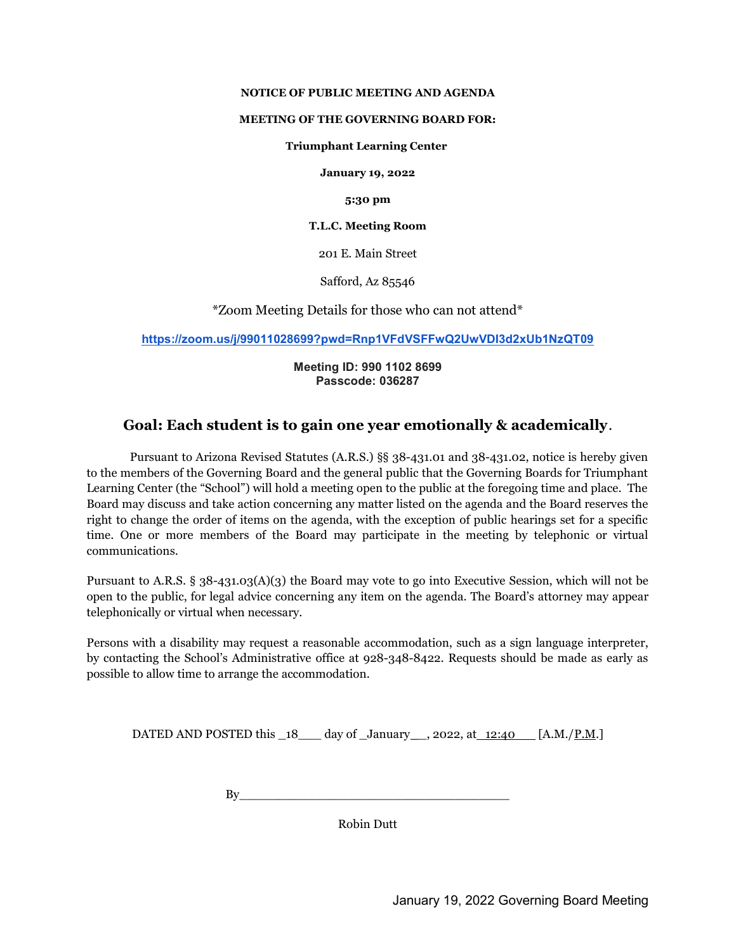#### NOTICE OF PUBLIC MEETING AND AGENDA

#### MEETING OF THE GOVERNING BOARD FOR:

#### Triumphant Learning Center

January 19, 2022

5:30 pm

#### T.L.C. Meeting Room

201 E. Main Street

Safford, Az 85546

\*Zoom Meeting Details for those who can not attend\*

https://zoom.us/j/99011028699?pwd=Rnp1VFdVSFFwQ2UwVDI3d2xUb1NzQT09

### Meeting ID: 990 1102 8699 Passcode: 036287

## Goal: Each student is to gain one year emotionally & academically.

Pursuant to Arizona Revised Statutes (A.R.S.) §§ 38-431.01 and 38-431.02, notice is hereby given to the members of the Governing Board and the general public that the Governing Boards for Triumphant Learning Center (the "School") will hold a meeting open to the public at the foregoing time and place. The Board may discuss and take action concerning any matter listed on the agenda and the Board reserves the right to change the order of items on the agenda, with the exception of public hearings set for a specific time. One or more members of the Board may participate in the meeting by telephonic or virtual communications.

Pursuant to A.R.S. § 38-431.03(A)(3) the Board may vote to go into Executive Session, which will not be open to the public, for legal advice concerning any item on the agenda. The Board's attorney may appear telephonically or virtual when necessary.

Persons with a disability may request a reasonable accommodation, such as a sign language interpreter, by contacting the School's Administrative office at 928-348-8422. Requests should be made as early as possible to allow time to arrange the accommodation.

DATED AND POSTED this  $18$  day of January 2022, at 12:40 [A.M./P.M.]

By\_\_\_\_\_\_\_\_\_\_\_\_\_\_\_\_\_\_\_\_\_\_\_\_\_\_\_\_\_\_\_\_\_\_\_

Robin Dutt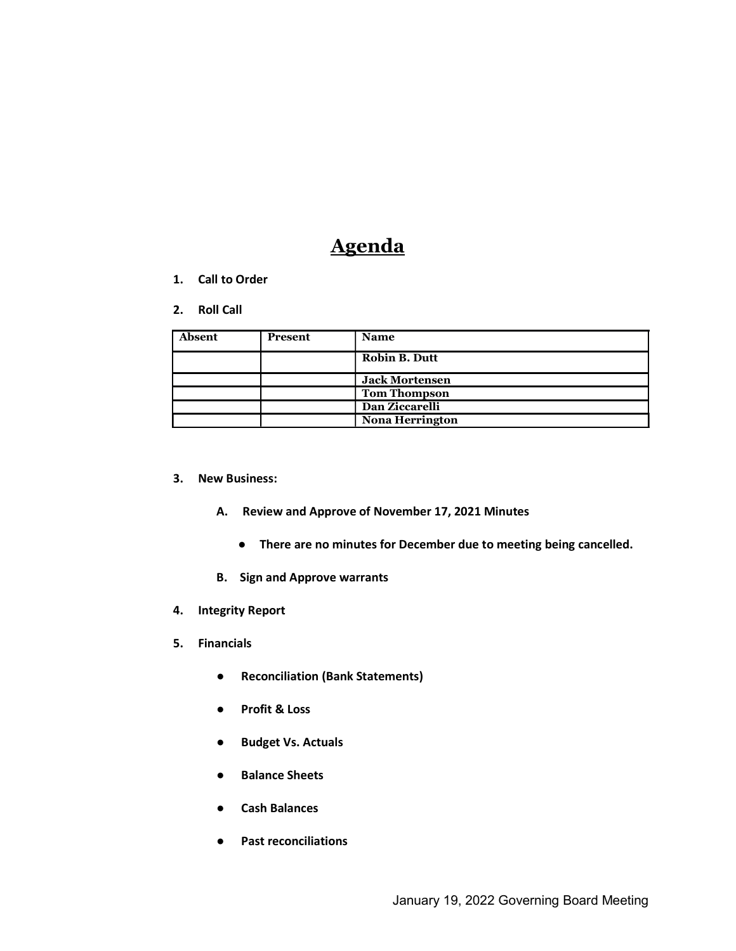# **Agenda**

- 1. Call to Order
- 2. Roll Call

| Absent | <b>Present</b> | <b>Name</b>            |
|--------|----------------|------------------------|
|        |                | <b>Robin B. Dutt</b>   |
|        |                | <b>Jack Mortensen</b>  |
|        |                | <b>Tom Thompson</b>    |
|        |                | Dan Ziccarelli         |
|        |                | <b>Nona Herrington</b> |

- 3. New Business:
	- A. Review and Approve of November 17, 2021 Minutes
		- There are no minutes for December due to meeting being cancelled.
	- B. Sign and Approve warrants
- 4. Integrity Report
- 5. Financials
	- Reconciliation (Bank Statements)
	- Profit & Loss
	- Budget Vs. Actuals
	- Balance Sheets
	- **Cash Balances**
	- Past reconciliations